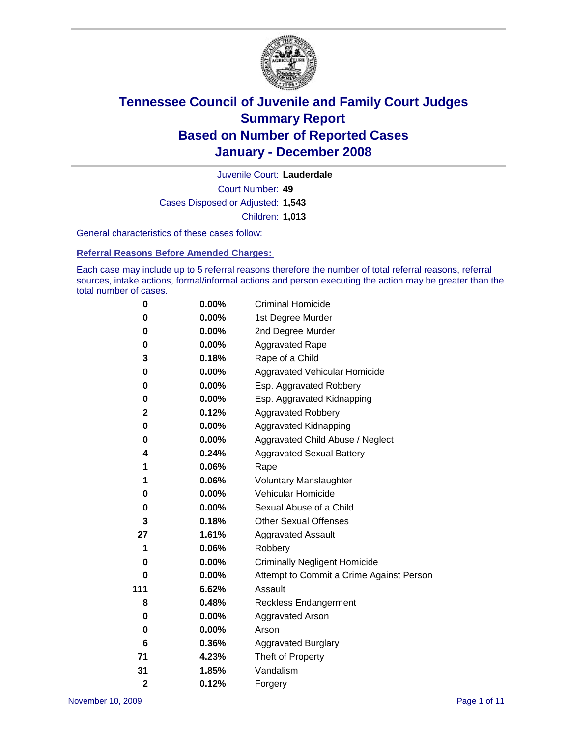

Court Number: **49** Juvenile Court: **Lauderdale** Cases Disposed or Adjusted: **1,543** Children: **1,013**

General characteristics of these cases follow:

**Referral Reasons Before Amended Charges:** 

Each case may include up to 5 referral reasons therefore the number of total referral reasons, referral sources, intake actions, formal/informal actions and person executing the action may be greater than the total number of cases.

| 0              | $0.00\%$ | <b>Criminal Homicide</b>                 |  |  |
|----------------|----------|------------------------------------------|--|--|
| 0              | 0.00%    | 1st Degree Murder                        |  |  |
| 0              | $0.00\%$ | 2nd Degree Murder                        |  |  |
| 0              | 0.00%    | <b>Aggravated Rape</b>                   |  |  |
| 3              | 0.18%    | Rape of a Child                          |  |  |
| 0              | 0.00%    | Aggravated Vehicular Homicide            |  |  |
| 0              | 0.00%    | Esp. Aggravated Robbery                  |  |  |
| 0              | $0.00\%$ | Esp. Aggravated Kidnapping               |  |  |
| $\mathbf 2$    | 0.12%    | <b>Aggravated Robbery</b>                |  |  |
| 0              | $0.00\%$ | Aggravated Kidnapping                    |  |  |
| 0              | 0.00%    | Aggravated Child Abuse / Neglect         |  |  |
| 4              | 0.24%    | <b>Aggravated Sexual Battery</b>         |  |  |
| 1              | 0.06%    | Rape                                     |  |  |
| 1              | 0.06%    | <b>Voluntary Manslaughter</b>            |  |  |
| 0              | 0.00%    | Vehicular Homicide                       |  |  |
| 0              | 0.00%    | Sexual Abuse of a Child                  |  |  |
| 3              | 0.18%    | <b>Other Sexual Offenses</b>             |  |  |
| 27             | 1.61%    | <b>Aggravated Assault</b>                |  |  |
| 1              | 0.06%    | Robbery                                  |  |  |
| 0              | 0.00%    | <b>Criminally Negligent Homicide</b>     |  |  |
| 0              | $0.00\%$ | Attempt to Commit a Crime Against Person |  |  |
| 111            | 6.62%    | Assault                                  |  |  |
| 8              | 0.48%    | <b>Reckless Endangerment</b>             |  |  |
| 0              | 0.00%    | <b>Aggravated Arson</b>                  |  |  |
| $\bf{0}$       | 0.00%    | Arson                                    |  |  |
| 6              | 0.36%    | <b>Aggravated Burglary</b>               |  |  |
| 71             | 4.23%    | Theft of Property                        |  |  |
| 31             | 1.85%    | Vandalism                                |  |  |
| $\overline{2}$ | 0.12%    | Forgery                                  |  |  |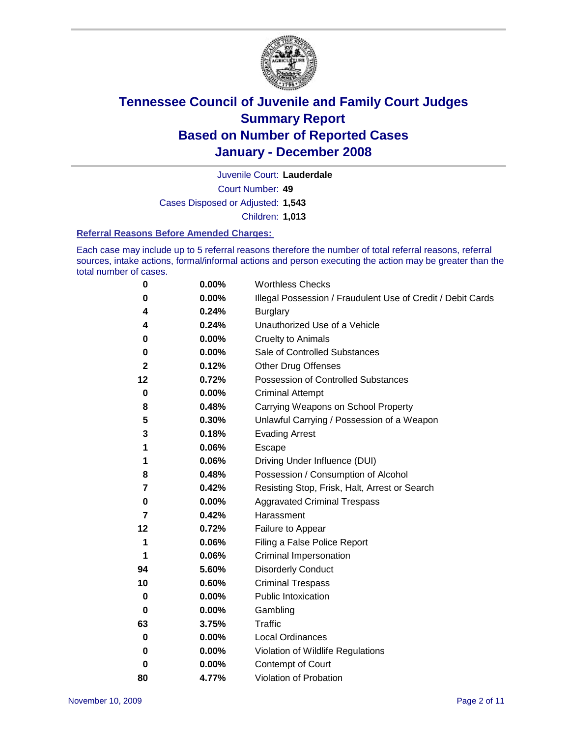

Court Number: **49** Juvenile Court: **Lauderdale** Cases Disposed or Adjusted: **1,543** Children: **1,013**

#### **Referral Reasons Before Amended Charges:**

Each case may include up to 5 referral reasons therefore the number of total referral reasons, referral sources, intake actions, formal/informal actions and person executing the action may be greater than the total number of cases.

| 0  | 0.00%    | <b>Worthless Checks</b>                                     |
|----|----------|-------------------------------------------------------------|
| 0  | 0.00%    | Illegal Possession / Fraudulent Use of Credit / Debit Cards |
| 4  | 0.24%    | <b>Burglary</b>                                             |
| 4  | 0.24%    | Unauthorized Use of a Vehicle                               |
| 0  | $0.00\%$ | <b>Cruelty to Animals</b>                                   |
| 0  | $0.00\%$ | Sale of Controlled Substances                               |
| 2  | 0.12%    | <b>Other Drug Offenses</b>                                  |
| 12 | 0.72%    | <b>Possession of Controlled Substances</b>                  |
| 0  | $0.00\%$ | <b>Criminal Attempt</b>                                     |
| 8  | 0.48%    | Carrying Weapons on School Property                         |
| 5  | 0.30%    | Unlawful Carrying / Possession of a Weapon                  |
| 3  | 0.18%    | <b>Evading Arrest</b>                                       |
| 1  | 0.06%    | Escape                                                      |
| 1  | 0.06%    | Driving Under Influence (DUI)                               |
| 8  | 0.48%    | Possession / Consumption of Alcohol                         |
| 7  | 0.42%    | Resisting Stop, Frisk, Halt, Arrest or Search               |
| 0  | 0.00%    | <b>Aggravated Criminal Trespass</b>                         |
| 7  | 0.42%    | Harassment                                                  |
| 12 | 0.72%    | Failure to Appear                                           |
| 1  | 0.06%    | Filing a False Police Report                                |
| 1  | 0.06%    | Criminal Impersonation                                      |
| 94 | 5.60%    | <b>Disorderly Conduct</b>                                   |
| 10 | 0.60%    | <b>Criminal Trespass</b>                                    |
| 0  | 0.00%    | <b>Public Intoxication</b>                                  |
| 0  | 0.00%    | Gambling                                                    |
| 63 | 3.75%    | <b>Traffic</b>                                              |
| 0  | 0.00%    | Local Ordinances                                            |
| 0  | 0.00%    | Violation of Wildlife Regulations                           |
| 0  | 0.00%    | <b>Contempt of Court</b>                                    |
| 80 | 4.77%    | Violation of Probation                                      |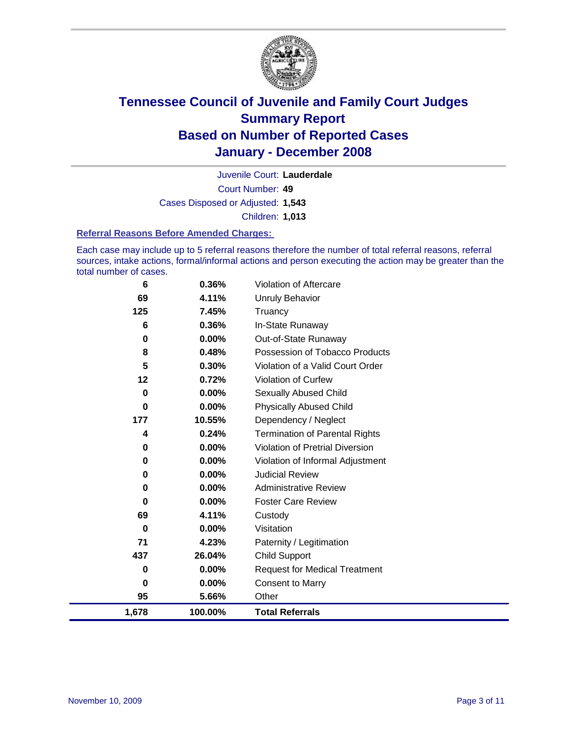

Court Number: **49** Juvenile Court: **Lauderdale** Cases Disposed or Adjusted: **1,543** Children: **1,013**

#### **Referral Reasons Before Amended Charges:**

Each case may include up to 5 referral reasons therefore the number of total referral reasons, referral sources, intake actions, formal/informal actions and person executing the action may be greater than the total number of cases.

| 6           | 0.36%   | Violation of Aftercare                 |
|-------------|---------|----------------------------------------|
| 69          | 4.11%   | <b>Unruly Behavior</b>                 |
| 125         | 7.45%   | Truancy                                |
| 6           | 0.36%   | In-State Runaway                       |
| 0           | 0.00%   | Out-of-State Runaway                   |
| 8           | 0.48%   | Possession of Tobacco Products         |
| 5           | 0.30%   | Violation of a Valid Court Order       |
| 12          | 0.72%   | Violation of Curfew                    |
| $\mathbf 0$ | 0.00%   | Sexually Abused Child                  |
| $\bf{0}$    | 0.00%   | <b>Physically Abused Child</b>         |
| 177         | 10.55%  | Dependency / Neglect                   |
| 4           | 0.24%   | <b>Termination of Parental Rights</b>  |
| 0           | 0.00%   | <b>Violation of Pretrial Diversion</b> |
| 0           | 0.00%   | Violation of Informal Adjustment       |
| 0           | 0.00%   | <b>Judicial Review</b>                 |
| 0           | 0.00%   | <b>Administrative Review</b>           |
| 0           | 0.00%   | <b>Foster Care Review</b>              |
| 69          | 4.11%   | Custody                                |
| 0           | 0.00%   | Visitation                             |
| 71          | 4.23%   | Paternity / Legitimation               |
| 437         | 26.04%  | <b>Child Support</b>                   |
| 0           | 0.00%   | <b>Request for Medical Treatment</b>   |
| 0           | 0.00%   | <b>Consent to Marry</b>                |
| 95          | 5.66%   | Other                                  |
| 1,678       | 100.00% | <b>Total Referrals</b>                 |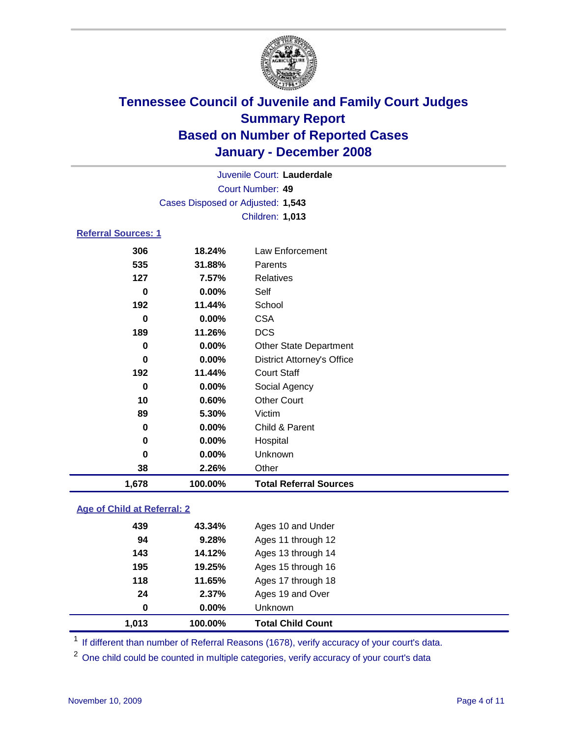

|                            |                                   | Juvenile Court: Lauderdale        |
|----------------------------|-----------------------------------|-----------------------------------|
|                            |                                   | Court Number: 49                  |
|                            | Cases Disposed or Adjusted: 1,543 |                                   |
|                            |                                   | Children: 1,013                   |
| <b>Referral Sources: 1</b> |                                   |                                   |
| 306                        | 18.24%                            | Law Enforcement                   |
| 535                        | 31.88%                            | Parents                           |
| 127                        | $7.57\%$                          | <b>Relatives</b>                  |
| 0                          | $0.00\%$                          | Self                              |
| 192                        | 11.44%                            | School                            |
| 0                          | $0.00\%$                          | <b>CSA</b>                        |
| 189                        | 11.26%                            | <b>DCS</b>                        |
| 0                          | $0.00\%$                          | <b>Other State Department</b>     |
| 0                          | $0.00\%$                          | <b>District Attorney's Office</b> |
| 192                        | 11.44%                            | <b>Court Staff</b>                |
| 0                          | $0.00\%$                          | Social Agency                     |
| 10                         | 0.60%                             | <b>Other Court</b>                |

| 1,678 | 100.00%  | <b>Total Referral Sources</b> |  |
|-------|----------|-------------------------------|--|
| 38    | 2.26%    | Other                         |  |
| 0     | $0.00\%$ | Unknown                       |  |
| 0     | $0.00\%$ | Hospital                      |  |
| 0     | $0.00\%$ | Child & Parent                |  |
| 89    | 5.30%    | Victim                        |  |
| ΊU    | U.OU%    | <b>Other Court</b>            |  |

### **Age of Child at Referral: 2**

| 0   | 0.00%  | <b>Unknown</b>     |                                   |
|-----|--------|--------------------|-----------------------------------|
| 24  | 2.37%  | Ages 19 and Over   |                                   |
| 118 | 11.65% | Ages 17 through 18 |                                   |
| 195 | 19.25% | Ages 15 through 16 |                                   |
| 143 | 14.12% | Ages 13 through 14 |                                   |
| 94  | 9.28%  | Ages 11 through 12 |                                   |
| 439 | 43.34% | Ages 10 and Under  |                                   |
|     |        |                    | 1,013<br><b>Total Child Count</b> |

<sup>1</sup> If different than number of Referral Reasons (1678), verify accuracy of your court's data.

<sup>2</sup> One child could be counted in multiple categories, verify accuracy of your court's data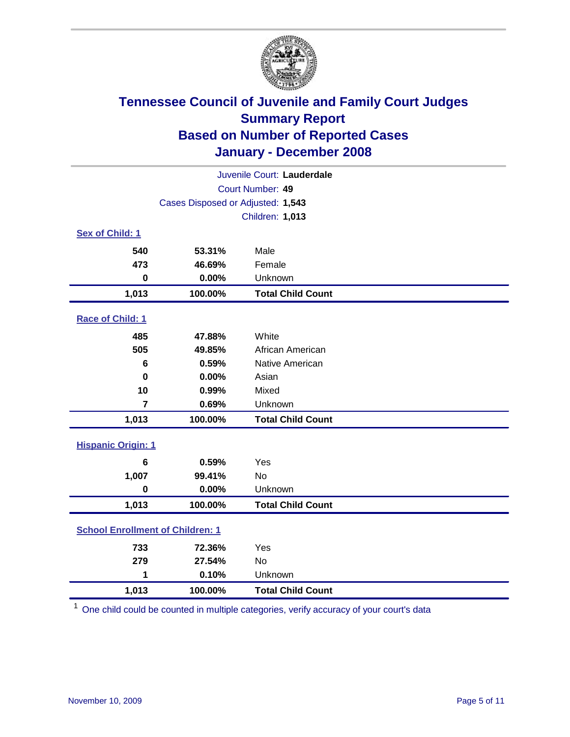

| Juvenile Court: Lauderdale              |                  |                          |  |
|-----------------------------------------|------------------|--------------------------|--|
|                                         | Court Number: 49 |                          |  |
| Cases Disposed or Adjusted: 1,543       |                  |                          |  |
|                                         |                  | Children: 1,013          |  |
| Sex of Child: 1                         |                  |                          |  |
| 540                                     | 53.31%           | Male                     |  |
| 473                                     | 46.69%           | Female                   |  |
| $\bf{0}$                                | 0.00%            | Unknown                  |  |
| 1,013                                   | 100.00%          | <b>Total Child Count</b> |  |
| Race of Child: 1                        |                  |                          |  |
| 485                                     | 47.88%           | White                    |  |
| 505                                     | 49.85%           | African American         |  |
| 6                                       | 0.59%            | Native American          |  |
| $\bf{0}$                                | 0.00%            | Asian                    |  |
| 10                                      | 0.99%            | Mixed                    |  |
| $\overline{7}$                          | 0.69%            | Unknown                  |  |
| 1,013                                   | 100.00%          | <b>Total Child Count</b> |  |
| <b>Hispanic Origin: 1</b>               |                  |                          |  |
| 6                                       | 0.59%            | Yes                      |  |
| 1,007                                   | 99.41%           | <b>No</b>                |  |
| $\bf{0}$                                | 0.00%            | Unknown                  |  |
| 1,013                                   | 100.00%          | <b>Total Child Count</b> |  |
| <b>School Enrollment of Children: 1</b> |                  |                          |  |
| 733                                     | 72.36%           | Yes                      |  |
| 279                                     | 27.54%           | No                       |  |
| 1                                       | 0.10%            | Unknown                  |  |
| 1,013                                   | 100.00%          | <b>Total Child Count</b> |  |

<sup>1</sup> One child could be counted in multiple categories, verify accuracy of your court's data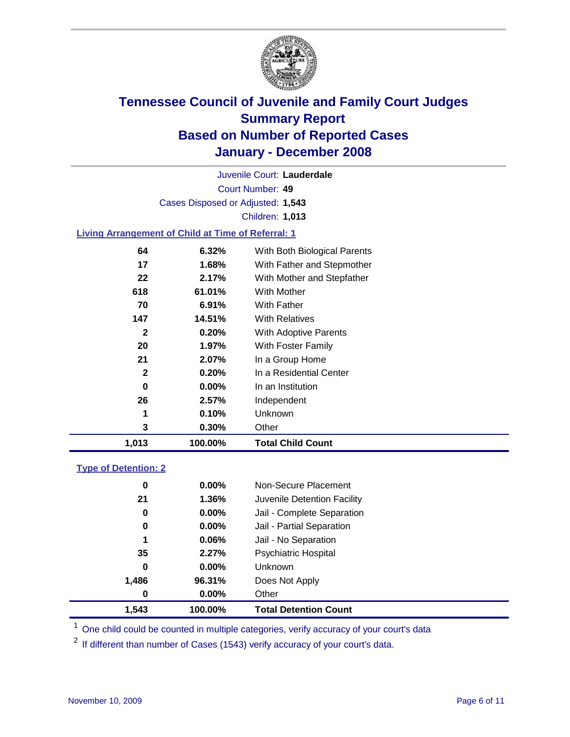

Court Number: **49** Juvenile Court: **Lauderdale** Cases Disposed or Adjusted: **1,543** Children: **1,013**

#### **Living Arrangement of Child at Time of Referral: 1**

| 1,013        | 100.00%  | <b>Total Child Count</b>     |
|--------------|----------|------------------------------|
| 3            | 0.30%    | Other                        |
| 1            | 0.10%    | Unknown                      |
| 26           | 2.57%    | Independent                  |
| 0            | $0.00\%$ | In an Institution            |
| 2            | 0.20%    | In a Residential Center      |
| 21           | 2.07%    | In a Group Home              |
| 20           | 1.97%    | With Foster Family           |
| $\mathbf{2}$ | 0.20%    | With Adoptive Parents        |
| 147          | 14.51%   | <b>With Relatives</b>        |
| 70           | 6.91%    | With Father                  |
| 618          | 61.01%   | With Mother                  |
| 22           | 2.17%    | With Mother and Stepfather   |
| 17           | 1.68%    | With Father and Stepmother   |
| 64           | 6.32%    | With Both Biological Parents |

#### **Type of Detention: 2**

| 1,543 | 100.00%  | <b>Total Detention Count</b> |  |
|-------|----------|------------------------------|--|
| 0     | 0.00%    | Other                        |  |
| 1,486 | 96.31%   | Does Not Apply               |  |
| 0     | 0.00%    | <b>Unknown</b>               |  |
| 35    | 2.27%    | <b>Psychiatric Hospital</b>  |  |
| 1     | 0.06%    | Jail - No Separation         |  |
| 0     | $0.00\%$ | Jail - Partial Separation    |  |
| 0     | 0.00%    | Jail - Complete Separation   |  |
| 21    | 1.36%    | Juvenile Detention Facility  |  |
| 0     | 0.00%    | Non-Secure Placement         |  |
|       |          |                              |  |

<sup>1</sup> One child could be counted in multiple categories, verify accuracy of your court's data

<sup>2</sup> If different than number of Cases (1543) verify accuracy of your court's data.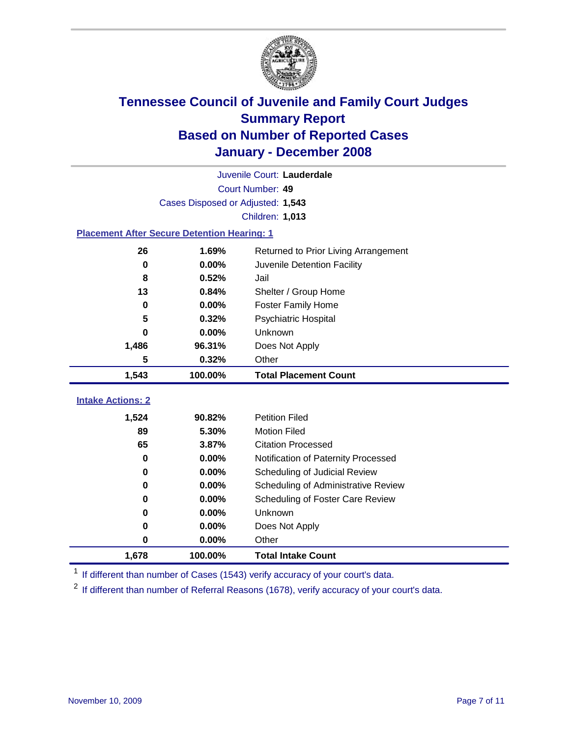

|                                                    | Juvenile Court: Lauderdale        |                                      |  |  |
|----------------------------------------------------|-----------------------------------|--------------------------------------|--|--|
|                                                    | Court Number: 49                  |                                      |  |  |
|                                                    | Cases Disposed or Adjusted: 1,543 |                                      |  |  |
|                                                    |                                   | Children: 1,013                      |  |  |
| <b>Placement After Secure Detention Hearing: 1</b> |                                   |                                      |  |  |
| 26                                                 | 1.69%                             | Returned to Prior Living Arrangement |  |  |
| $\mathbf 0$                                        | 0.00%                             | Juvenile Detention Facility          |  |  |
| 8                                                  | 0.52%                             | Jail                                 |  |  |
| 13<br>0.84%<br>Shelter / Group Home                |                                   |                                      |  |  |
| $\bf{0}$                                           | 0.00%                             | <b>Foster Family Home</b>            |  |  |
| 5                                                  | 0.32%                             | Psychiatric Hospital                 |  |  |
| 0                                                  | 0.00%                             | Unknown                              |  |  |
| 1,486                                              | 96.31%                            | Does Not Apply                       |  |  |
| 5<br>0.32%<br>Other                                |                                   |                                      |  |  |
| 1,543                                              | 100.00%                           | <b>Total Placement Count</b>         |  |  |
| <b>Intake Actions: 2</b>                           |                                   |                                      |  |  |
|                                                    |                                   |                                      |  |  |
| 1,524                                              | 90.82%                            | <b>Petition Filed</b>                |  |  |
| 89                                                 | 5.30%                             | <b>Motion Filed</b>                  |  |  |
| 65                                                 | 3.87%                             | <b>Citation Processed</b>            |  |  |
| 0                                                  | 0.00%                             | Notification of Paternity Processed  |  |  |
| 0                                                  | 0.00%                             | Scheduling of Judicial Review        |  |  |
| 0                                                  | 0.00%                             | Scheduling of Administrative Review  |  |  |
| 0                                                  | 0.00%                             | Scheduling of Foster Care Review     |  |  |
| 0                                                  | 0.00%                             | Unknown                              |  |  |
| 0                                                  | 0.00%                             | Does Not Apply                       |  |  |
| 0                                                  | 0.00%                             | Other                                |  |  |
| 1,678                                              | 100.00%                           | <b>Total Intake Count</b>            |  |  |

<sup>1</sup> If different than number of Cases (1543) verify accuracy of your court's data.

<sup>2</sup> If different than number of Referral Reasons (1678), verify accuracy of your court's data.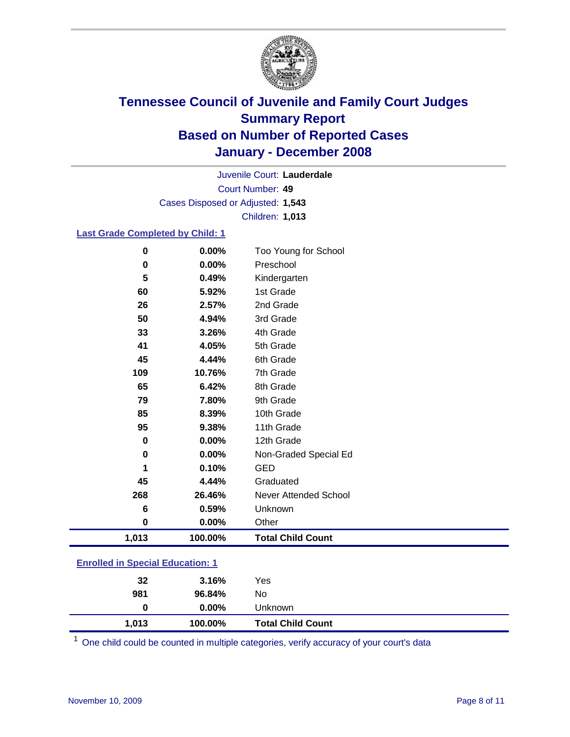

Court Number: **49** Juvenile Court: **Lauderdale** Cases Disposed or Adjusted: **1,543** Children: **1,013**

#### **Last Grade Completed by Child: 1**

| 0.00%<br>Preschool<br>0<br>5<br>0.49% | Kindergarten<br>1st Grade    |
|---------------------------------------|------------------------------|
|                                       |                              |
|                                       |                              |
| 60<br>5.92%                           |                              |
| 2nd Grade<br>26<br>2.57%              |                              |
| 50<br>3rd Grade<br>4.94%              |                              |
| 4th Grade<br>33<br>3.26%              |                              |
| 5th Grade<br>41<br>4.05%              |                              |
| 45<br>4.44%<br>6th Grade              |                              |
| 7th Grade<br>109<br>10.76%            |                              |
| 65<br>6.42%<br>8th Grade              |                              |
| 9th Grade<br>79<br>7.80%              |                              |
| 85<br>8.39%                           | 10th Grade                   |
| 95<br>9.38%                           | 11th Grade                   |
| 0.00%<br>0                            | 12th Grade                   |
| 0.00%<br>0                            | Non-Graded Special Ed        |
| 0.10%<br><b>GED</b>                   |                              |
| 45<br>4.44%                           | Graduated                    |
| 26.46%<br>268                         | <b>Never Attended School</b> |
| 0.59%<br>Unknown<br>6                 |                              |
| 0.00%<br>Other<br>0                   |                              |
| 1,013<br>100.00%                      | <b>Total Child Count</b>     |

### **Enrolled in Special Education: 1**

| $0.00\%$<br>Unknown<br>$\bf{0}$<br>1,013<br><b>Total Child Count</b><br>100.00% |  |
|---------------------------------------------------------------------------------|--|
| 981<br>96.84%<br>No                                                             |  |
| 32<br>3.16%<br>Yes                                                              |  |

<sup>1</sup> One child could be counted in multiple categories, verify accuracy of your court's data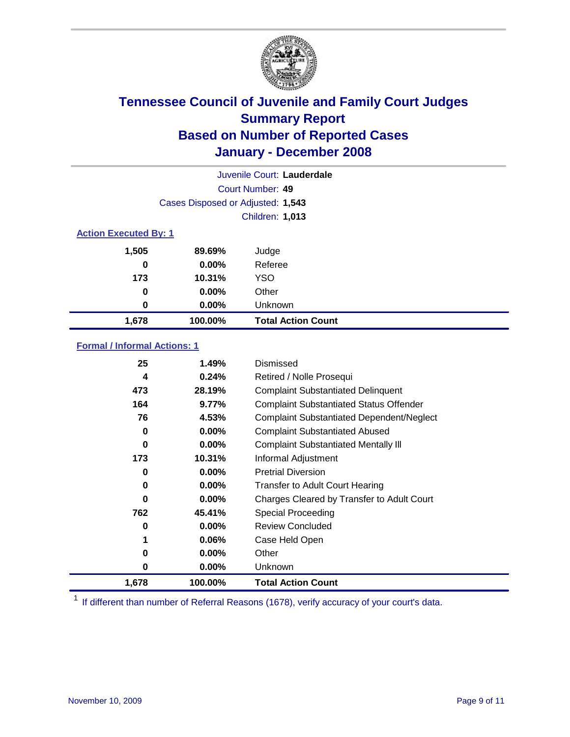

|                              |                                   | Juvenile Court: Lauderdale |
|------------------------------|-----------------------------------|----------------------------|
|                              |                                   | Court Number: 49           |
|                              | Cases Disposed or Adjusted: 1,543 |                            |
|                              |                                   | Children: 1,013            |
| <b>Action Executed By: 1</b> |                                   |                            |
| 1,505                        | 89.69%                            | Judge                      |
| 0                            | $0.00\%$                          | Referee                    |
| 173                          | 10.31%                            | <b>YSO</b>                 |
| 0                            | 0.00%                             | Other                      |
| 0                            | 0.00%                             | Unknown                    |
| 1,678                        | 100.00%                           | <b>Total Action Count</b>  |

### **Formal / Informal Actions: 1**

| 25    | 1.49%    | Dismissed                                        |
|-------|----------|--------------------------------------------------|
| 4     | 0.24%    | Retired / Nolle Prosequi                         |
| 473   | 28.19%   | <b>Complaint Substantiated Delinquent</b>        |
| 164   | 9.77%    | <b>Complaint Substantiated Status Offender</b>   |
| 76    | 4.53%    | <b>Complaint Substantiated Dependent/Neglect</b> |
| 0     | 0.00%    | <b>Complaint Substantiated Abused</b>            |
| 0     | $0.00\%$ | <b>Complaint Substantiated Mentally III</b>      |
| 173   | 10.31%   | Informal Adjustment                              |
| 0     | $0.00\%$ | <b>Pretrial Diversion</b>                        |
| 0     | $0.00\%$ | <b>Transfer to Adult Court Hearing</b>           |
| 0     | $0.00\%$ | Charges Cleared by Transfer to Adult Court       |
| 762   | 45.41%   | Special Proceeding                               |
| 0     | $0.00\%$ | <b>Review Concluded</b>                          |
| 1     | $0.06\%$ | Case Held Open                                   |
| 0     | $0.00\%$ | Other                                            |
| 0     | $0.00\%$ | <b>Unknown</b>                                   |
| 1,678 | 100.00%  | <b>Total Action Count</b>                        |

<sup>1</sup> If different than number of Referral Reasons (1678), verify accuracy of your court's data.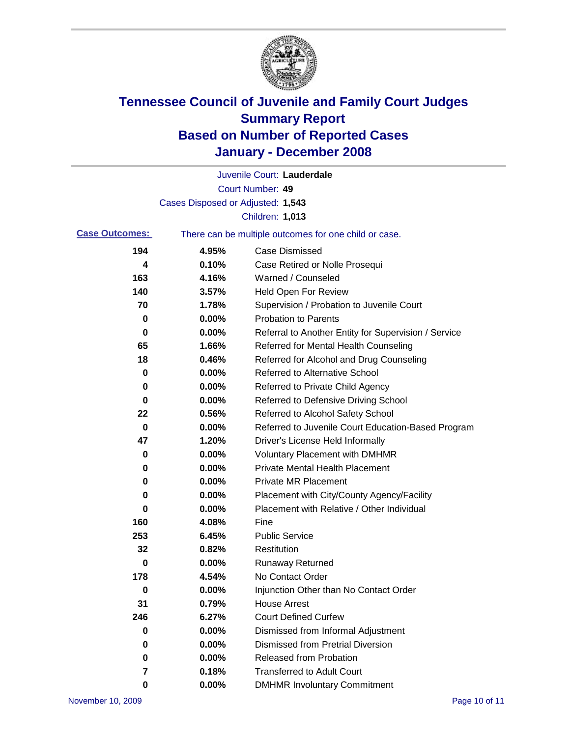

|                       |                                   | Juvenile Court: Lauderdale                            |
|-----------------------|-----------------------------------|-------------------------------------------------------|
|                       |                                   | Court Number: 49                                      |
|                       | Cases Disposed or Adjusted: 1,543 |                                                       |
|                       |                                   | Children: 1,013                                       |
| <b>Case Outcomes:</b> |                                   | There can be multiple outcomes for one child or case. |
| 194                   | 4.95%                             | <b>Case Dismissed</b>                                 |
| 4                     | 0.10%                             | Case Retired or Nolle Prosequi                        |
| 163                   | 4.16%                             | Warned / Counseled                                    |
| 140                   | 3.57%                             | <b>Held Open For Review</b>                           |
| 70                    | 1.78%                             | Supervision / Probation to Juvenile Court             |
| 0                     | 0.00%                             | <b>Probation to Parents</b>                           |
| 0                     | 0.00%                             | Referral to Another Entity for Supervision / Service  |
| 65                    | 1.66%                             | Referred for Mental Health Counseling                 |
| 18                    | 0.46%                             | Referred for Alcohol and Drug Counseling              |
| 0                     | 0.00%                             | <b>Referred to Alternative School</b>                 |
| 0                     | 0.00%                             | Referred to Private Child Agency                      |
| 0                     | 0.00%                             | Referred to Defensive Driving School                  |
| 22                    | 0.56%                             | Referred to Alcohol Safety School                     |
| 0                     | 0.00%                             | Referred to Juvenile Court Education-Based Program    |
| 47                    | 1.20%                             | Driver's License Held Informally                      |
| 0                     | 0.00%                             | <b>Voluntary Placement with DMHMR</b>                 |
| 0                     | 0.00%                             | <b>Private Mental Health Placement</b>                |
| 0                     | 0.00%                             | Private MR Placement                                  |
| 0                     | 0.00%                             | Placement with City/County Agency/Facility            |
| 0                     | 0.00%                             | Placement with Relative / Other Individual            |
| 160                   | 4.08%                             | Fine                                                  |
| 253                   | 6.45%                             | <b>Public Service</b>                                 |
| 32                    | 0.82%                             | Restitution                                           |
| 0                     | 0.00%                             | <b>Runaway Returned</b>                               |
| 178                   | 4.54%                             | No Contact Order                                      |
| 0                     | 0.00%                             | Injunction Other than No Contact Order                |
| 31                    | 0.79%                             | <b>House Arrest</b>                                   |
| 246                   | 6.27%                             | <b>Court Defined Curfew</b>                           |
| 0                     | 0.00%                             | Dismissed from Informal Adjustment                    |
| 0                     | 0.00%                             | <b>Dismissed from Pretrial Diversion</b>              |
| 0                     | 0.00%                             | <b>Released from Probation</b>                        |
| 7                     | 0.18%                             | <b>Transferred to Adult Court</b>                     |
| 0                     | $0.00\%$                          | <b>DMHMR Involuntary Commitment</b>                   |